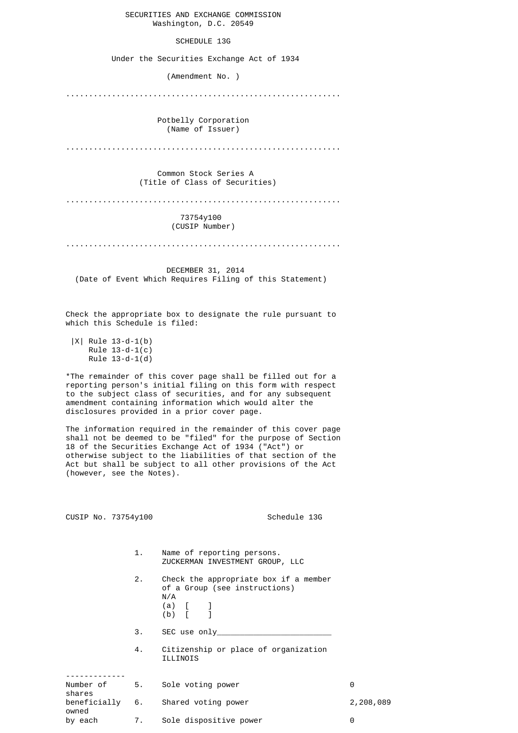### SECURITIES AND EXCHANGE COMMISSION Washington, D.C. 20549

#### SCHEDULE 13G

Under the Securities Exchange Act of 1934

(Amendment No. )

............................................................

 Potbelly Corporation (Name of Issuer)

............................................................

 Common Stock Series A (Title of Class of Securities)

............................................................

 73754y100 (CUSIP Number)

............................................................

### DECEMBER 31, 2014 (Date of Event Which Requires Filing of this Statement)

 Check the appropriate box to designate the rule pursuant to which this Schedule is filed:

 |X| Rule 13-d-1(b) Rule  $13-d-1(c)$ Rule 13-d-1(d)

 \*The remainder of this cover page shall be filled out for a reporting person's initial filing on this form with respect to the subject class of securities, and for any subsequent amendment containing information which would alter the disclosures provided in a prior cover page.

 The information required in the remainder of this cover page shall not be deemed to be "filed" for the purpose of Section 18 of the Securities Exchange Act of 1934 ("Act") or otherwise subject to the liabilities of that section of the Act but shall be subject to all other provisions of the Act (however, see the Notes).

| CUSIP No. 73754y100 |    | Schedule 13G                                                                                                                |           |
|---------------------|----|-----------------------------------------------------------------------------------------------------------------------------|-----------|
|                     | 1. | Name of reporting persons.<br>ZUCKERMAN INVESTMENT GROUP, LLC                                                               |           |
|                     | 2. | Check the appropriate box if a member<br>of a Group (see instructions)<br>N/A<br>(a) $\begin{bmatrix} 1 \\ 0 \end{bmatrix}$ |           |
|                     | 3. | SEC use only                                                                                                                |           |
|                     | 4. | Citizenship or place of organization<br><b>ILLINOIS</b>                                                                     |           |
| Number of<br>shares |    | 5. Sole voting power                                                                                                        | 0         |
| owned               |    | beneficially 6. Shared voting power                                                                                         | 2,208,089 |
| by each             | 7. | Sole dispositive power                                                                                                      | 0         |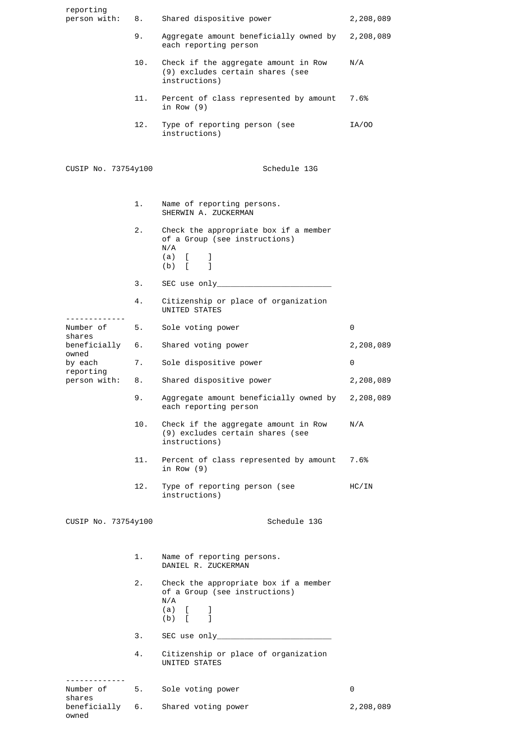| reporting<br>person with: | 8.  | Shared dispositive power                                                                                               | 2,208,089 |
|---------------------------|-----|------------------------------------------------------------------------------------------------------------------------|-----------|
|                           | 9.  | Aggregate amount beneficially owned by                                                                                 | 2,208,089 |
|                           |     | each reporting person                                                                                                  |           |
|                           | 10. | Check if the aggregate amount in Row<br>(9) excludes certain shares (see<br>instructions)                              | N/A       |
|                           | 11. | Percent of class represented by amount<br>in Row $(9)$                                                                 | 7.6%      |
|                           | 12. | Type of reporting person (see<br>instructions)                                                                         | IA/00     |
| CUSIP No. 73754y100       |     | Schedule 13G                                                                                                           |           |
|                           | 1.  | Name of reporting persons.<br>SHERWIN A. ZUCKERMAN                                                                     |           |
|                           | 2.  | Check the appropriate box if a member<br>of a Group (see instructions)<br>N/A<br>$(a)$ [<br>$\frac{1}{1}$<br>$(b)$ $[$ |           |
|                           | З.  |                                                                                                                        |           |
|                           | 4.  | Citizenship or place of organization<br>UNITED STATES                                                                  |           |
| Number of                 | 5.  | Sole voting power                                                                                                      | 0         |
| shares<br>beneficially    | 6.  | Shared voting power                                                                                                    | 2,208,089 |
| owned<br>by each          | 7.  | Sole dispositive power                                                                                                 | 0         |
| reporting<br>person with: | 8.  | Shared dispositive power                                                                                               | 2,208,089 |
|                           | 9.  | Aggregate amount beneficially owned by 2,208,089<br>each reporting person                                              |           |
|                           | 10. | Check if the aggregate amount in Row<br>(9) excludes certain shares (see<br>instructions)                              | N/A       |
|                           | 11. | Percent of class represented by amount<br>in Row $(9)$                                                                 | 7.6%      |
|                           | 12. | Type of reporting person (see<br>instructions)                                                                         | HC/IN     |
| CUSIP No. 73754y100       |     | Schedule 13G                                                                                                           |           |
|                           | 1.  | Name of reporting persons.<br>DANIEL R. ZUCKERMAN                                                                      |           |
|                           | 2.  | Check the appropriate box if a member<br>of a Group (see instructions)<br>N/A                                          |           |
|                           |     | (a) $\begin{bmatrix} 1 \\ 0 \end{bmatrix}$                                                                             |           |
|                           | З.  |                                                                                                                        |           |
|                           | 4.  | Citizenship or place of organization<br><b>UNITED STATES</b>                                                           |           |
| Number of                 | 5.  | Sole voting power                                                                                                      | 0         |
| shares<br>beneficially    | 6.  | Shared voting power                                                                                                    | 2,208,089 |
| owned                     |     |                                                                                                                        |           |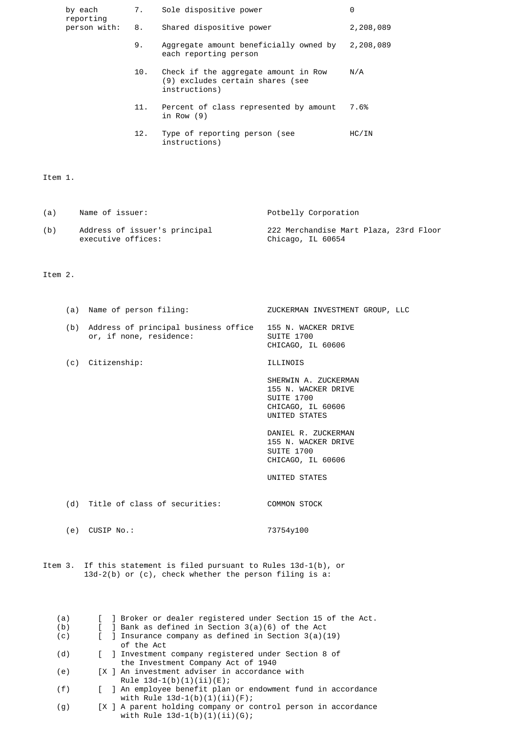| by each                      | 7.  | Sole dispositive power                                                                    | 0         |
|------------------------------|-----|-------------------------------------------------------------------------------------------|-----------|
| reporting<br>person with: 8. |     | Shared dispositive power                                                                  | 2,208,089 |
|                              | 9.  | Aggregate amount beneficially owned by<br>each reporting person                           | 2,208,089 |
|                              | 10. | Check if the aggregate amount in Row<br>(9) excludes certain shares (see<br>instructions) | N/A       |
|                              | 11. | Percent of class represented by amount<br>in Row $(9)$                                    | 7.6%      |
|                              | 12. | Type of reporting person (see<br>instructions)                                            | HC/IN     |

## Item 1.

| (a) | Name of issuer:                                     | Potbelly Corporation                                        |
|-----|-----------------------------------------------------|-------------------------------------------------------------|
| (b) | Address of issuer's principal<br>executive offices: | 222 Merchandise Mart Plaza, 23rd Floor<br>Chicago, IL 60654 |

# Item 2.

| (a) | Name of person filing:                                          | ZUCKERMAN INVESTMENT GROUP, LLC                                                |
|-----|-----------------------------------------------------------------|--------------------------------------------------------------------------------|
| (b) | Address of principal business office<br>or, if none, residence: | 155 N. WACKER DRIVE<br>SUITE 1700<br>CHICAGO, IL 60606                         |
| (C) | Citizenship:                                                    | ILLINOIS                                                                       |
|     |                                                                 | SHERWIN A. ZUCKERMAN<br>155 N. WACKER DRIVE<br>SUITE 1700<br>CHICAGO, IL 60606 |

 DANIEL R. ZUCKERMAN 155 N. WACKER DRIVE SUITE 1700 CHICAGO, IL 60606

UNITED STATES

UNITED STATES

(d) Title of class of securities: COMMON STOCK

(e) CUSIP No.: 73754y100

 Item 3. If this statement is filed pursuant to Rules 13d-1(b), or 13d-2(b) or (c), check whether the person filing is a:

| ] Broker or dealer registered under Section 15 of the Act.<br>(a)<br>$\vert$ Bank as defined in Section 3(a)(6) of the Act<br>(b)<br>] Insurance company as defined in Section $3(a)(19)$<br>(c)<br>of the Act<br>[ ] Investment company registered under Section 8 of<br>(d)<br>the Investment Company Act of 1940<br>[X ] An investment adviser in accordance with<br>(e)<br>Rule $13d-1(b)(1)(ii)(E)$ ;<br>[ ] An employee benefit plan or endowment fund in accordance<br>(f)<br>with Rule $13d-1(b)(1)(ii)(F)$ ;<br>[X ] A parent holding company or control person in accordance<br>(g)<br>with Rule $13d-1(b)(1)(ii)(G)$ ; |  |  |
|-----------------------------------------------------------------------------------------------------------------------------------------------------------------------------------------------------------------------------------------------------------------------------------------------------------------------------------------------------------------------------------------------------------------------------------------------------------------------------------------------------------------------------------------------------------------------------------------------------------------------------------|--|--|
|                                                                                                                                                                                                                                                                                                                                                                                                                                                                                                                                                                                                                                   |  |  |
|                                                                                                                                                                                                                                                                                                                                                                                                                                                                                                                                                                                                                                   |  |  |
|                                                                                                                                                                                                                                                                                                                                                                                                                                                                                                                                                                                                                                   |  |  |
|                                                                                                                                                                                                                                                                                                                                                                                                                                                                                                                                                                                                                                   |  |  |
|                                                                                                                                                                                                                                                                                                                                                                                                                                                                                                                                                                                                                                   |  |  |
|                                                                                                                                                                                                                                                                                                                                                                                                                                                                                                                                                                                                                                   |  |  |
|                                                                                                                                                                                                                                                                                                                                                                                                                                                                                                                                                                                                                                   |  |  |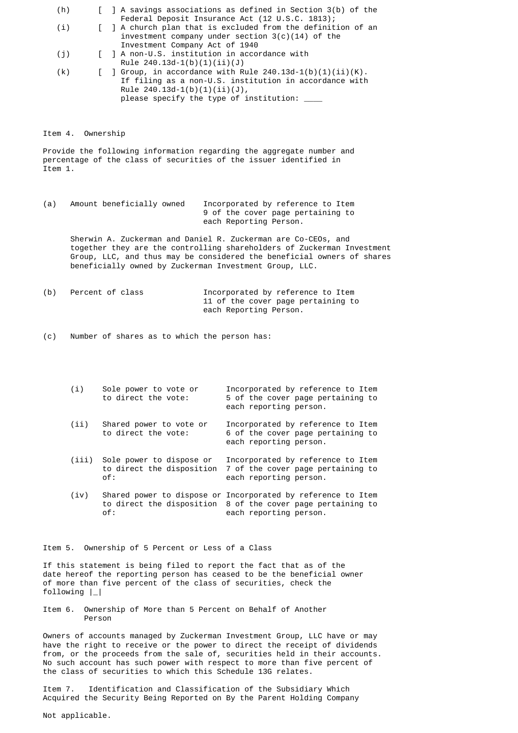| (h) | $\lceil$ ] A savings associations as defined in Section 3(b) of the |  |
|-----|---------------------------------------------------------------------|--|
|     | Federal Deposit Insurance Act (12 U.S.C. 1813);                     |  |
|     |                                                                     |  |

- (i) [ ] A church plan that is excluded from the definition of an investment company under section  $3(c)(14)$  of the Investment Company Act of 1940
- (j) [ ] A non-U.S. institution in accordance with
- $Rule 240.13d-1(b)(1)(ii)(J)$ <br>(k)  $[ ]$  Group, in accordance with R  $\lceil$  ] Group, in accordance with Rule 240.13d-1(b)(1)(ii)(K). If filing as a non-U.S. institution in accordance with Rule  $240.13d-1(b)(1)(ii)(J)$ , please specify the type of institution:  $\_$

Item 4. Ownership

 Provide the following information regarding the aggregate number and percentage of the class of securities of the issuer identified in Item 1.

 (a) Amount beneficially owned Incorporated by reference to Item 9 of the cover page pertaining to each Reporting Person.

 Sherwin A. Zuckerman and Daniel R. Zuckerman are Co-CEOs, and together they are the controlling shareholders of Zuckerman Investment Group, LLC, and thus may be considered the beneficial owners of shares beneficially owned by Zuckerman Investment Group, LLC.

 (b) Percent of class Incorporated by reference to Item 11 of the cover page pertaining to each Reporting Person.

(c) Number of shares as to which the person has:

(i) Sole power to vote or Incorporated by reference to Item<br>to direct the vote: 5 of the cover page pertaining to 5 of the cover page pertaining to each reporting person.

(ii) Shared power to vote or Incorporated by reference to Item<br>to direct the vote: 6 of the cover page pertaining to 6 of the cover page pertaining to each reporting person.

- (iii) Sole power to dispose or Incorporated by reference to Item to direct the disposition 7 of the cover page pertaining to of: each reporting person.
- (iv) Shared power to dispose or Incorporated by reference to Item to direct the disposition 8 of the cover page pertaining to of: each reporting person.

Item 5. Ownership of 5 Percent or Less of a Class

 If this statement is being filed to report the fact that as of the date hereof the reporting person has ceased to be the beneficial owner of more than five percent of the class of securities, check the following |\_|

 Item 6. Ownership of More than 5 Percent on Behalf of Another Person

 Owners of accounts managed by Zuckerman Investment Group, LLC have or may have the right to receive or the power to direct the receipt of dividends from, or the proceeds from the sale of, securities held in their accounts. No such account has such power with respect to more than five percent of the class of securities to which this Schedule 13G relates.

 Item 7. Identification and Classification of the Subsidiary Which Acquired the Security Being Reported on By the Parent Holding Company

Not applicable.